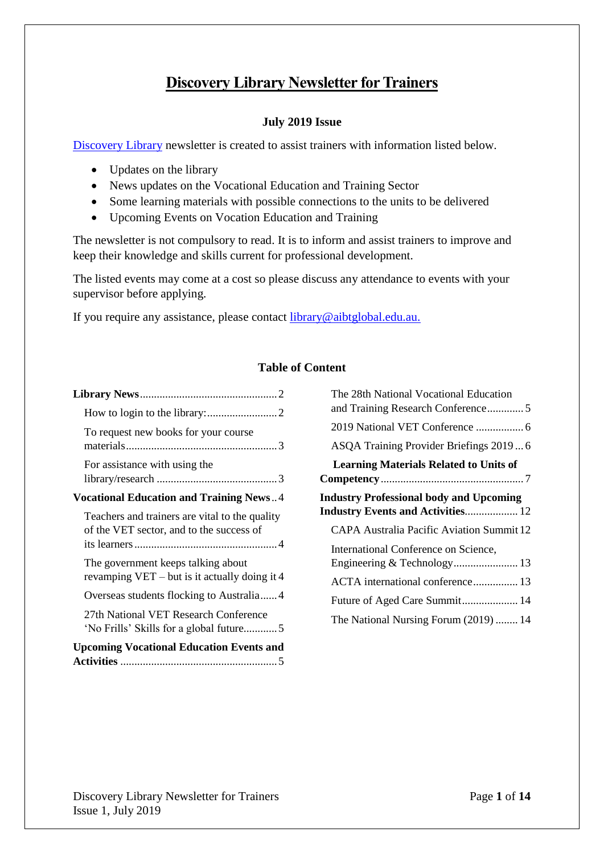# **Discovery Library Newsletter for Trainers**

### **July 2019 Issue**

[Discovery Library](https://library.aibtglobal.edu.au/?utm_source=greenbar&utm_medium=url) newsletter is created to assist trainers with information listed below.

- Updates on the library
- News updates on the Vocational Education and Training Sector
- Some learning materials with possible connections to the units to be delivered
- Upcoming Events on Vocation Education and Training

The newsletter is not compulsory to read. It is to inform and assist trainers to improve and keep their knowledge and skills current for professional development.

The listed events may come at a cost so please discuss any attendance to events with your supervisor before applying.

If you require any assistance, please contact [library@aibtglobal.edu.au.](mailto:library@aibtglobal.edu.au)

#### **Table of Content**

| To request new books for your course                                                       |
|--------------------------------------------------------------------------------------------|
| For assistance with using the                                                              |
| <b>Vocational Education and Training News4</b>                                             |
| Teachers and trainers are vital to the quality<br>of the VET sector, and to the success of |
| The government keeps talking about<br>revamping $VET - but$ is it actually doing it 4      |
| Overseas students flocking to Australia4                                                   |
| 27th National VET Research Conference<br>'No Frills' Skills for a global future5           |
| <b>Upcoming Vocational Education Events and</b>                                            |

<span id="page-0-0"></span>

| The 28th National Vocational Education<br>and Training Research Conference5 |
|-----------------------------------------------------------------------------|
|                                                                             |
| ASQA Training Provider Briefings 20196                                      |
| <b>Learning Materials Related to Units of</b>                               |
|                                                                             |
| <b>Industry Professional body and Upcoming</b>                              |
| <b>Industry Events and Activities 12</b>                                    |
| <b>CAPA Australia Pacific Aviation Summit 12</b>                            |
| International Conference on Science,                                        |
|                                                                             |
| ACTA international conference 13                                            |
| Future of Aged Care Summit 14                                               |
| The National Nursing Forum (2019)  14                                       |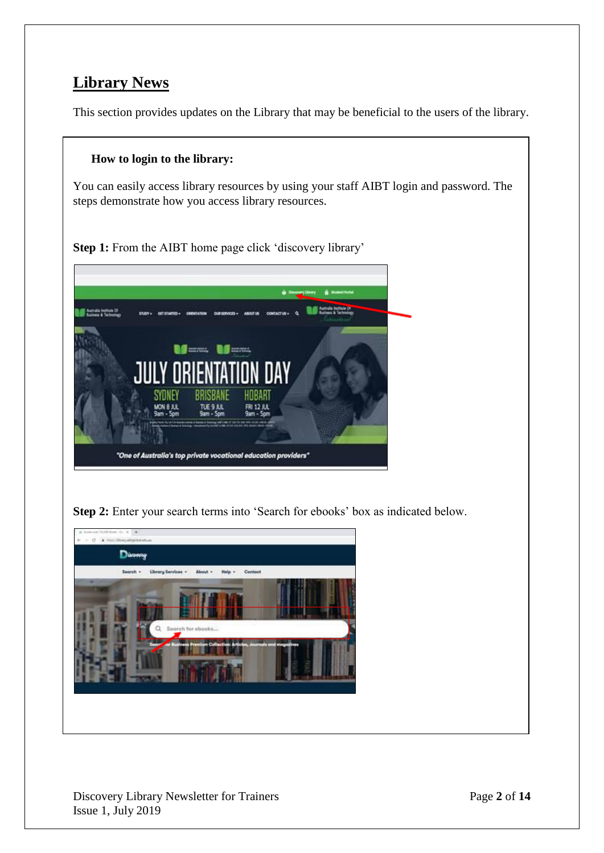# **Library News**

This section provides updates on the Library that may be beneficial to the users of the library.

### <span id="page-1-0"></span>**How to login to the library:**

You can easily access library resources by using your staff AIBT login and password. The steps demonstrate how you access library resources.

**Step 1:** From the AIBT home page click 'discovery library'



**Step 2:** Enter your search terms into 'Search for ebooks' box as indicated below.

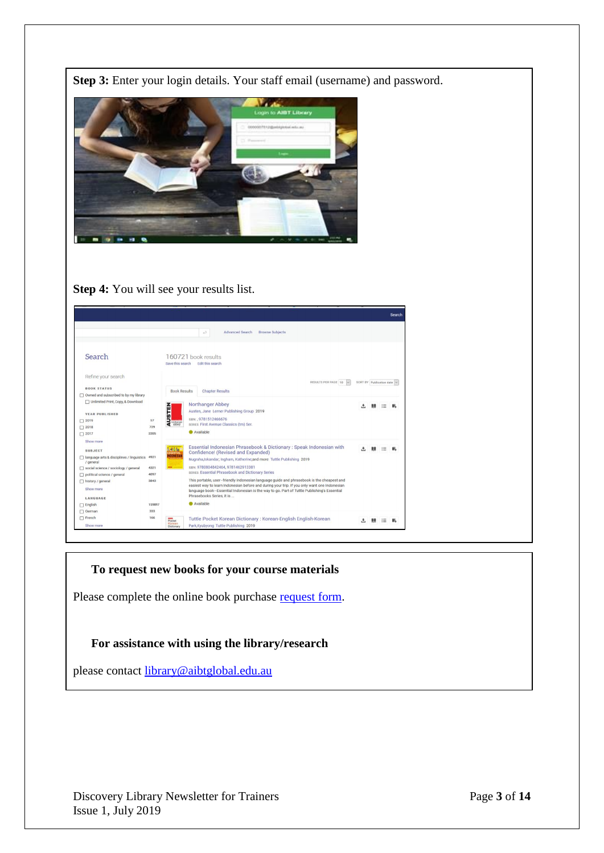

**Step 4:** You will see your results list.

|                                                       |           |                     |                                                                                                                                                                                                                         |                          |   | Search |
|-------------------------------------------------------|-----------|---------------------|-------------------------------------------------------------------------------------------------------------------------------------------------------------------------------------------------------------------------|--------------------------|---|--------|
|                                                       |           |                     | <b>Browse Subjects</b><br><b>Advanced Search</b><br>43                                                                                                                                                                  |                          |   |        |
| Search                                                |           |                     | 160721 book results<br>Save this search Edit this search                                                                                                                                                                |                          |   |        |
| Refine your search                                    |           |                     | RESULTS PER PAGE 10<br>$\vee$                                                                                                                                                                                           | SORT BY Publication date |   |        |
| <b>BOOK STATUS</b>                                    |           | <b>Book Results</b> | <b>Chapter Results</b>                                                                                                                                                                                                  |                          |   |        |
| □ Owned and subscribed to by my library               |           |                     |                                                                                                                                                                                                                         |                          |   |        |
| Unlimited Print, Copy, & Download                     |           |                     | Northanger Abbey                                                                                                                                                                                                        |                          | ≔ |        |
|                                                       |           | <b>AUSTEN</b>       | Austen, Jane Lerner Publishing Group 2019                                                                                                                                                                               |                          |   |        |
| <b>YEAR PUBLISHED</b>                                 |           |                     | ISBN:, 9781512466676                                                                                                                                                                                                    |                          |   |        |
| $\Box$ 2019                                           | 57<br>729 | nosthanges          | SERIES: First Avenue Classics (tm) Ser.                                                                                                                                                                                 |                          |   |        |
| $\Box$ 2018<br>$\Box$ 2017                            | 2205      |                     | Available                                                                                                                                                                                                               |                          |   |        |
| Show more                                             |           |                     |                                                                                                                                                                                                                         |                          |   |        |
|                                                       |           |                     | Essential Indonesian Phrasebook & Dictionary: Speak Indonesian with                                                                                                                                                     |                          | ≔ |        |
| <b>SUBJECT</b>                                        | 4921      | <b>MARINE</b>       | Confidence! (Revised and Expanded)                                                                                                                                                                                      |                          |   |        |
| anguage arts & disciplines / linguistics<br>/ general |           |                     | Nugraha,Iskandar; Ingham, Katherine;and more Tuttle Publishing 2019                                                                                                                                                     |                          |   |        |
| $\Box$ social science / sociology / general           | 4321      |                     | ISBN: 9780804842464, 9781462913381                                                                                                                                                                                      |                          |   |        |
| political science / general                           | 4097      |                     | <b>SERIES: Essential Phrasebook and Dictionary Series</b>                                                                                                                                                               |                          |   |        |
| history / general                                     | 3843      |                     | This portable, user-friendly Indonesian language guide and phrasebook is the cheapest and                                                                                                                               |                          |   |        |
| Show more                                             |           |                     | easiest way to learn Indonesian before and during your trip. If you only want one Indonesian<br>language book-Essential Indonesian is the way to go. Part of Tuttle Publishing's Essential<br>Phrasebooks Series, it is |                          |   |        |
| LANGUAGE                                              |           |                     |                                                                                                                                                                                                                         |                          |   |        |
| □ English                                             | 159897    |                     | Available                                                                                                                                                                                                               |                          |   |        |
| $\Box$ German                                         | 333       |                     |                                                                                                                                                                                                                         |                          |   |        |
| $\Box$ French                                         | 166       | Pocket<br>Korean    | Tuttle Pocket Korean Dictionary: Korean-English English-Korean                                                                                                                                                          |                          |   |        |
| Show more                                             |           | Dictionary          | Park, Kyubyong Tuttle Publishing 2019                                                                                                                                                                                   |                          |   |        |

### <span id="page-2-0"></span>**To request new books for your course materials**

Please complete the online book purchase [request form.](https://library.aibtglobal.edu.au/library-services/purchase-request/)

### <span id="page-2-1"></span>**For assistance with using the library/research**

please contact [library@aibtglobal.edu.au](file:///C:/Users/w.hitchcock/AppData/Local/Microsoft/Windows/INetCache/Content.Outlook/P9KC1WA5/library@aibtglobal.edu.au)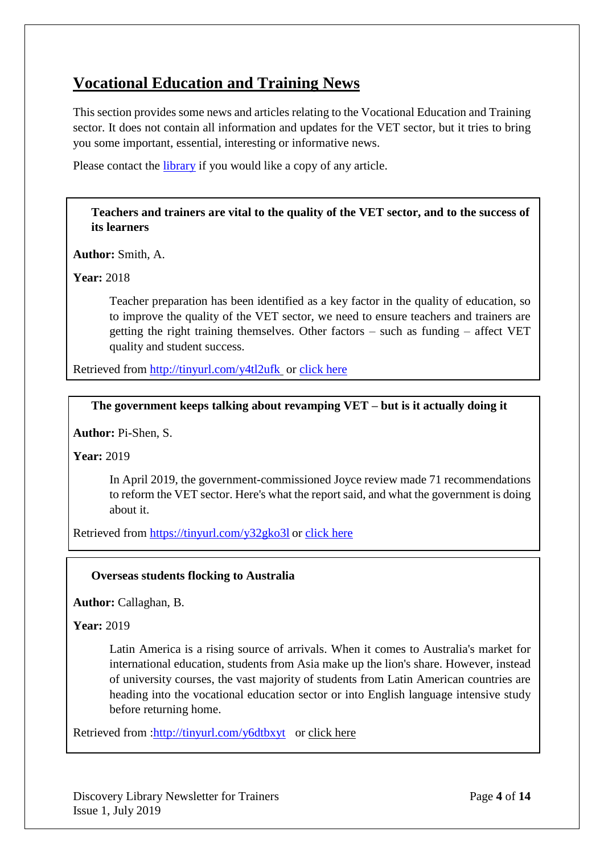# <span id="page-3-0"></span>**Vocational Education and Training News**

This section provides some news and articles relating to the Vocational Education and Training sector. It does not contain all information and updates for the VET sector, but it tries to bring you some important, essential, interesting or informative news.

Please contact the [library](mailto:library@aibtglobal.edu.au) if you would like a copy of any article.

<span id="page-3-1"></span>**[Teachers and trainers are vital to the quality of the VET sector, and to the success of](https://theconversation.com/teachers-and-trainers-are-vital-to-the-quality-of-the-vet-sector-and-to-the-success-of-its-learners-101384)  its [learners](https://theconversation.com/teachers-and-trainers-are-vital-to-the-quality-of-the-vet-sector-and-to-the-success-of-its-learners-101384)**

**Author:** Smith, A.

**Year:** 2018

Teacher preparation has been identified as a key factor in the quality of education, so to improve the quality of the VET sector, we need to ensure teachers and trainers are getting the right training themselves. Other factors – such as funding – affect VET quality and student success.

Retrieved from<http://tinyurl.com/y4tl2ufk> or [click here](https://theconversation.com/teachers-and-trainers-are-vital-to-the-quality-of-the-vet-sector-and-to-the-success-of-its-learners-101384)

## <span id="page-3-2"></span>**[The government keeps talking about revamping VET –](https://theconversation.com/the-government-keeps-talking-about-revamping-vet-but-is-it-actually-doing-it-117743) but is it actually doing it**

**Author:** Pi-Shen, S.

**Year:** 2019

In April 2019, the government-commissioned Joyce review made 71 recommendations to reform the VET sector. Here's what the report said, and what the government is doing about it.

Retrieved from <https://tinyurl.com/y32gko3l> or [click](https://theconversation.com/the-government-keeps-talking-about-revamping-vet-but-is-it-actually-doing-it-117743) here

#### <span id="page-3-3"></span>**[Overseas students flocking to Australia](https://search-proquest-com.brightonpacific.idm.oclc.org/docview/2228653438/28C7E831B07F4080PQ/79?accountid=193703)**

**Author:** Callaghan, B.

**Year:** 2019

Latin America is a rising source of arrivals. When it comes to Australia's market for international education, students from Asia make up the lion's share. However, instead of university courses, the vast majority of students from Latin American countries are heading into the vocational education sector or into English language intensive study before returning home.

Retrieved from [:http://tinyurl.com/y6dtbxyt](http://tinyurl.com/y6dtbxyt) or [click here](https://search-proquest-com.brightonpacific.idm.oclc.org/docview/2228653438/28C7E831B07F4080PQ/79?accountid=193703)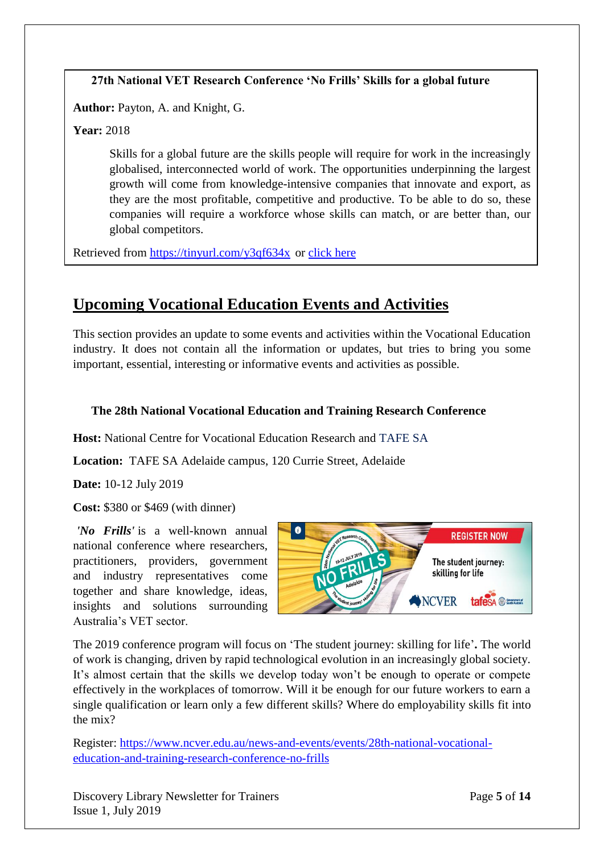## <span id="page-4-0"></span>**27th National VET Research Conference 'No Frills' Skills for a global future**

**Author:** Payton, A. and Knight, G.

**Year:** 2018

Skills for a global future are the skills people will require for work in the increasingly globalised, interconnected world of work. The opportunities underpinning the largest growth will come from knowledge-intensive companies that innovate and export, as they are the most profitable, competitive and productive. To be able to do so, these companies will require a workforce whose skills can match, or are better than, our global competitors.

Retrieved from <https://tinyurl.com/y3qf634x> or [click here](https://www.ncver.edu.au/__data/assets/pdf_file/0041/3179885/Skills-for-a-global-future.pdf)

# <span id="page-4-1"></span>**Upcoming Vocational Education Events and Activities**

This section provides an update to some events and activities within the Vocational Education industry. It does not contain all the information or updates, but tries to bring you some important, essential, interesting or informative events and activities as possible.

## <span id="page-4-2"></span>**The 28th National Vocational Education and Training Research Conference**

**Host:** National Centre for Vocational Education Research and [TAFE SA](https://www.tafesa.edu.au/)

**Location:** [TAFE SA Adelaide campus,](https://www.tafesa.edu.au/locations/metro/adelaide) 120 Currie Street, Adelaide

**Date:** 10-12 July 2019

**Cost:** \$380 or \$469 (with dinner)

*'No Frills'* is a well-known annual national conference where researchers, practitioners, providers, government and industry representatives come together and share knowledge, ideas, insights and solutions surrounding Australia's VET sector.



The 2019 conference program will focus on 'The student journey: skilling for life'**.** The world of work is changing, driven by rapid technological evolution in an increasingly global society. It's almost certain that the skills we develop today won't be enough to operate or compete effectively in the workplaces of tomorrow. Will it be enough for our future workers to earn a single qualification or learn only a few different skills? Where do employability skills fit into the mix?

Register: [https://www.ncver.edu.au/news-and-events/events/28th-national-vocational](https://www.ncver.edu.au/news-and-events/events/28th-national-vocational-education-and-training-research-conference-no-frills)[education-and-training-research-conference-no-frills](https://www.ncver.edu.au/news-and-events/events/28th-national-vocational-education-and-training-research-conference-no-frills)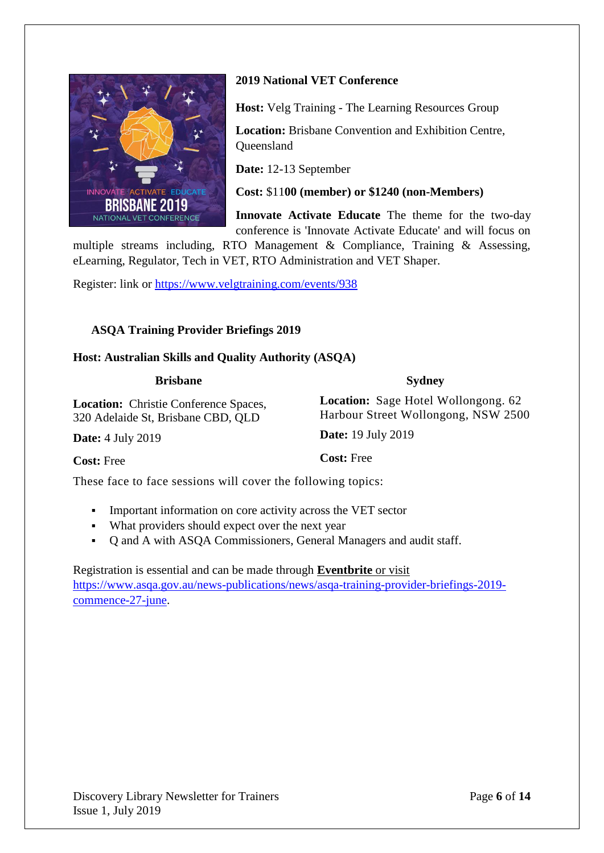

## <span id="page-5-0"></span>**2019 National VET Conference**

**Host:** Velg Training - The Learning Resources Group

**Location:** Brisbane Convention and Exhibition Centre, **Oueensland** 

**Date:** 12-13 September

**Cost:** \$11**00 (member) or \$1240 (non-Members)**

**Innovate Activate Educate** The theme for the two-day conference is 'Innovate Activate Educate' and will focus on

**Sydney**

**Location:** Sage Hotel Wollongong. 62 Harbour Street Wollongong, NSW 2500

multiple streams including, RTO Management & Compliance, Training & Assessing, eLearning, Regulator, Tech in VET, RTO Administration and VET Shaper.

Register: link or<https://www.velgtraining.com/events/938>

### <span id="page-5-1"></span>**ASQA Training Provider Briefings 2019**

#### **Host: Australian Skills and Quality Authority (ASQA)**

#### **Brisbane**

**Location:** Christie Conference Spaces, 320 Adelaide St, Brisbane CBD, QLD

**Date:** 4 July 2019

**Cost:** Free

**Date:** 19 July 2019

**Cost:** Free

These face to face sessions will cover the following topics:

- **•** Important information on core activity across the VET sector
- What providers should expect over the next year
- Q and A with ASQA Commissioners, General Managers and audit staff.

## Registration is essential and can be made through **[Eventbrite](http://asqa.eventbrite.com/)** or visit [https://www.asqa.gov.au/news-publications/news/asqa-training-provider-briefings-2019](https://www.asqa.gov.au/news-publications/news/asqa-training-provider-briefings-2019-commence-27-june) [commence-27-june.](https://www.asqa.gov.au/news-publications/news/asqa-training-provider-briefings-2019-commence-27-june)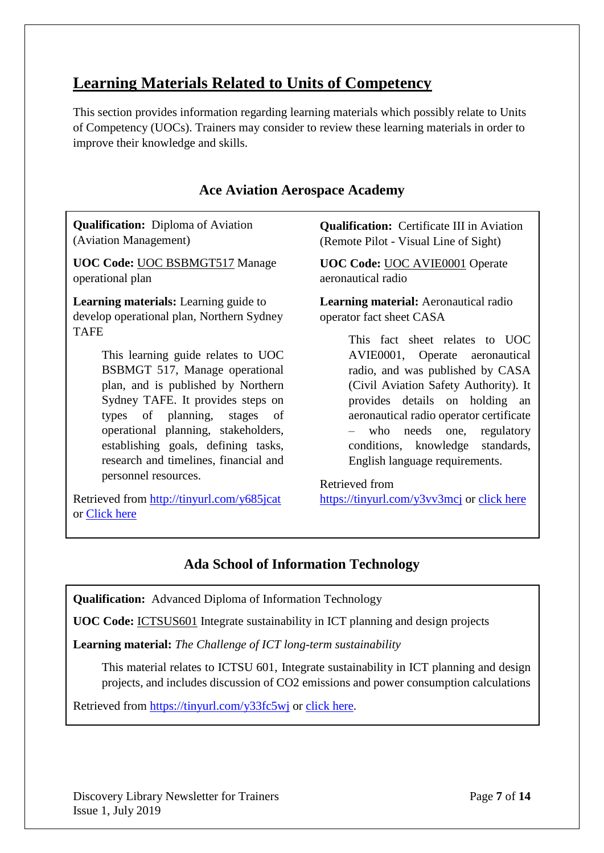# <span id="page-6-0"></span>**Learning Materials Related to Units of Competency**

This section provides information regarding learning materials which possibly relate to Units of Competency (UOCs). Trainers may consider to review these learning materials in order to improve their knowledge and skills.

# **Ace Aviation Aerospace Academy**

**Qualification:** Diploma of Aviation (Aviation Management)

**UOC Code:** UOC BSBMGT517 Manage operational plan

**Learning materials:** Learning guide to develop operational plan*,* Northern Sydney TAFE

> This learning guide relates to UOC BSBMGT 517, Manage operational plan, and is published by Northern Sydney TAFE. It provides steps on types of planning, stages of operational planning, stakeholders, establishing goals, defining tasks, research and timelines, financial and personnel resources.

Retrieved from<http://tinyurl.com/y685jcat> or [Click here](https://nsfsakai.nthsydney.tafensw.edu.au/access/content/group/0f4ea869-0e76-4936-b16e-7407f58a3a5d/ManagementAndSmallBusiness/Manage%20Operational%20Plan/documents/bsbmgt517_learning_guide_topic_1_v1_36.pdf)

**Qualification:** Certificate III in Aviation (Remote Pilot - Visual Line of Sight)

**UOC Code:** UOC AVIE0001 Operate aeronautical radio

**Learning material:** Aeronautical radio operator fact sheet CASA

> This fact sheet relates to UOC AVIE0001, Operate aeronautical radio, and was published by CASA (Civil Aviation Safety Authority). It provides details on holding an aeronautical radio operator certificate – who needs one, regulatory conditions, knowledge standards, English language requirements.

Retrieved from <https://tinyurl.com/y3vv3mcj> or [click here](https://www.casa.gov.au/standard-page/aeronautical-radio-operator-certificate-aroc)

# **Ada School of Information Technology**

**Qualification:** Advanced Diploma of Information Technology

**UOC Code:** ICTSUS601 Integrate sustainability in ICT planning and design projects

**Learning material:** *The Challenge of ICT long-term sustainability*

This material relates to ICTSU 601, Integrate sustainability in ICT planning and design projects, and includes discussion of CO2 emissions and power consumption calculations

Retrieved from<https://tinyurl.com/y33fc5wj> or [click here.](https://pdfs.semanticscholar.org/7ec2/44a230f9d7c7f4a8b61fcb8347b68b04ac80.pdf?_ga=2.155560627.984159100.1561428839-2012586692.1561428839)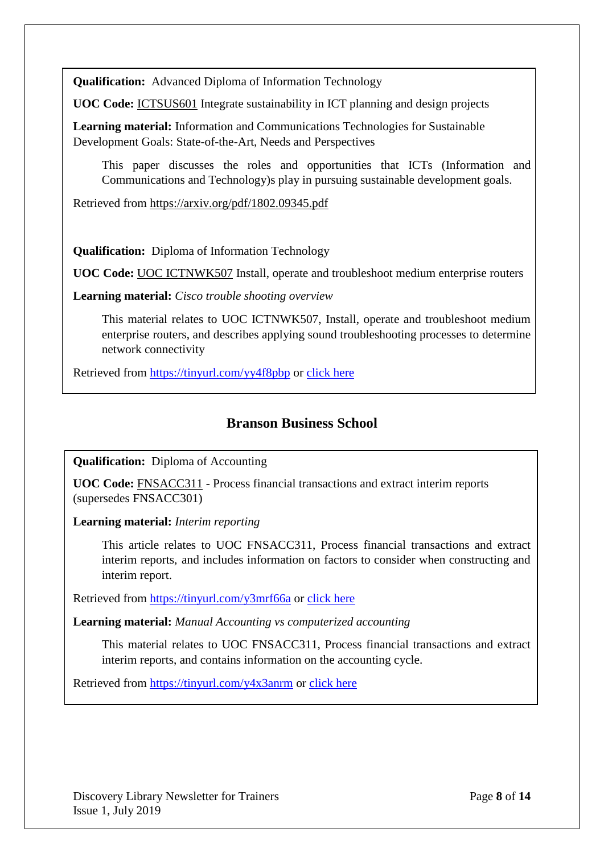**Qualification:** Advanced Diploma of Information Technology

**UOC Code:** ICTSUS601 Integrate sustainability in ICT planning and design projects

**Learning material:** Information and Communications Technologies for Sustainable Development Goals: State-of-the-Art, Needs and Perspectives

This paper discusses the roles and opportunities that ICTs (Information and Communications and Technology)s play in pursuing sustainable development goals.

Retrieved from <https://arxiv.org/pdf/1802.09345.pdf>

**Qualification:** Diploma of Information Technology

**UOC Code:** UOC ICTNWK507 Install, operate and troubleshoot medium enterprise routers

**Learning material:** *Cisco trouble shooting overview*

This material relates to UOC ICTNWK507, Install, operate and troubleshoot medium enterprise routers, and describes applying sound troubleshooting processes to determine network connectivity

Retrieved from<https://tinyurl.com/yy4f8pbp> or [click here](https://www.cisco.com/en/US/docs/internetworking/troubleshooting/guide/tr1901.html)

# **Branson Business School**

**Qualification:** Diploma of Accounting

**UOC Code:** FNSACC311 - Process financial transactions and extract interim reports (supersedes FNSACC301)

**Learning material:** *[Interim reporting](https://www.accountingtools.com/articles/what-is-interim-reporting.html)*

This article relates to UOC FNSACC311, Process financial transactions and extract interim reports, and includes information on factors to consider when constructing and interim report.

Retrieved from<https://tinyurl.com/y3mrf66a> or [click here](https://www.accountingtools.com/articles/what-is-interim-reporting.html)

**Learning material:** *[Manual Accounting vs computerized accounting](https://www.experience.com/advice/professional-development/manual-accounting-versus-computerized-accounting/)*

This material relates to UOC FNSACC311, Process financial transactions and extract interim reports, and contains information on the accounting cycle.

Retrieved from<https://tinyurl.com/y4x3anrm> or [click here](https://www.experience.com/advice/professional-development/manual-accounting-versus-computerized-accounting/)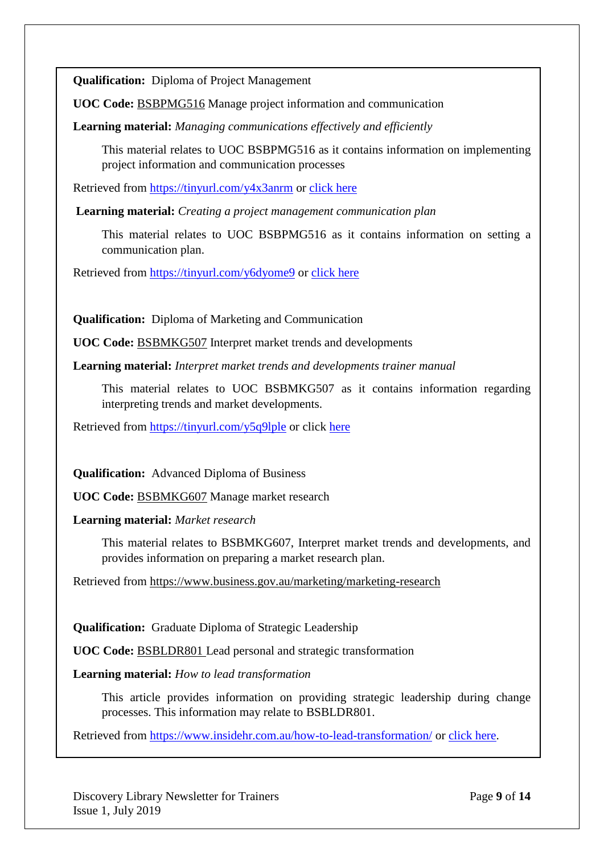**Qualification:** Diploma of Project Management

**UOC Code:** BSBPMG516 Manage project information and communication

**Learning material:** *[Managing communications effectively and efficiently](https://www.pmi.org/learning/library/managing-communications-effectively-efficiently-5916)*

This material relates to UOC BSBPMG516 as it contains information on implementing project information and communication processes

Retrieved from<https://tinyurl.com/y4x3anrm> or [click here](https://www.pmi.org/learning/library/managing-communications-effectively-efficiently-5916)

**Learning material:** *[Creating a project management communication plan](https://www.teamgantt.com/blog/project-management-communication-plan)*

This material relates to UOC BSBPMG516 as it contains information on setting a communication plan.

Retrieved from<https://tinyurl.com/y6dyome9> or [click here](https://www.teamgantt.com/blog/project-management-communication-plan)

**Qualification:** Diploma of Marketing and Communication

**UOC Code:** BSBMKG507 Interpret market trends and developments

**Learning material:** *Interpret market trends and developments trainer manual*

This material relates to UOC BSBMKG507 as it contains information regarding interpreting trends and market developments.

Retrieved from<https://tinyurl.com/y5q9lple> or click [here](https://compliantlearningresources.com.au/wp-content/uploads/2017/03/BSBMKG507-Trainer-Manual-Sample-1.pdf)

**Qualification:** Advanced Diploma of Business

**UOC Code:** BSBMKG607 Manage market research

**Learning material:** *Market research*

This material relates to BSBMKG607, Interpret market trends and developments, and provides information on preparing a market research plan.

Retrieved from<https://www.business.gov.au/marketing/marketing-research>

**Qualification:** Graduate Diploma of Strategic Leadership

**UOC Code:** BSBLDR801 Lead personal and strategic transformation

**Learning material:** *How to lead transformation*

This article provides information on providing strategic leadership during change processes. This information may relate to BSBLDR801.

Retrieved from<https://www.insidehr.com.au/how-to-lead-transformation/> or [click here.](https://www.insidehr.com.au/how-to-lead-transformation/)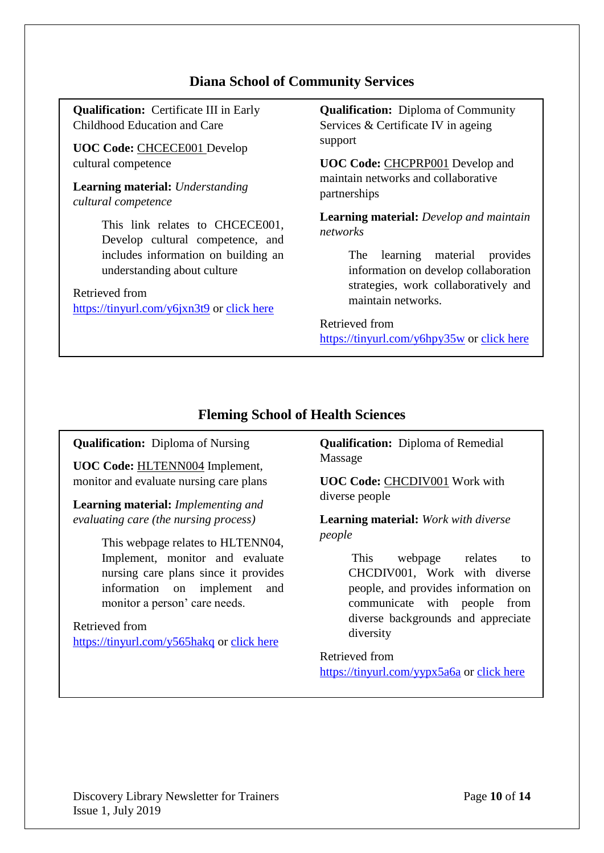# **Diana School of Community Services**

**Qualification:** Certificate III in Early Childhood Education and Care

**UOC Code:** CHCECE001 Develop cultural competence

**Learning material:** *Understanding cultural competence*

> This link relates to CHCECE001, Develop cultural competence, and includes information on building an understanding about culture

Retrieved from <https://tinyurl.com/y6jxn3t9> or [click here](http://www.earlychildhoodaustralia.org.au/nqsplp/wp-content/uploads/2012/05/EYLFPLP_E-Newsletter_No7.pdf) **Qualification:** Diploma of Community Services & Certificate IV in ageing support

**UOC Code:** CHCPRP001 Develop and maintain networks and collaborative partnerships

**Learning material:** *Develop and maintain networks*

> The learning material provides information on develop collaboration strategies, work collaboratively and maintain networks.

# Retrieved from

<https://tinyurl.com/y6hpy35w> or [click here](https://aspire-solidus-production.s3-ap-southeast-2.amazonaws.com/assets/CXPRP001/samples/CXPRP001.pdf)

# **Fleming School of Health Sciences**

**Qualification:** Diploma of Nursing

**UOC Code:** HLTENN004 Implement, monitor and evaluate nursing care plans

**Learning material:** *Implementing and evaluating care (the nursing process[\)](http://what-when-how.com/nursing/implementing-and-evaluating-care-the-nursing-process-part-1/)*

> This webpage relates to HLTENN04, Implement, monitor and evaluate nursing care plans since it provides information on implement and monitor a person' care needs.

Retrieved from <https://tinyurl.com/y565hakq> or [click here](http://what-when-how.com/nursing/implementing-and-evaluating-care-the-nursing-process-part-1/) **Qualification:** Diploma of Remedial Massage

**UOC Code:** CHCDIV001 Work with diverse people

**Learning material:** *Work with diverse peopl[e](http://what-when-how.com/nursing/implementing-and-evaluating-care-the-nursing-process-part-1/)*

> This webpage relates to CHCDIV001, Work with diverse people, and provides information on communicate with people from diverse backgrounds and appreciate diversity

Retrieved from <https://tinyurl.com/yypx5a6a> or [click here](https://yourdecision.oten.tafensw.edu.au/pluginfile.php/570/mod_page/content/99/CHCDIV001_Sample_loco_html/p284.htm)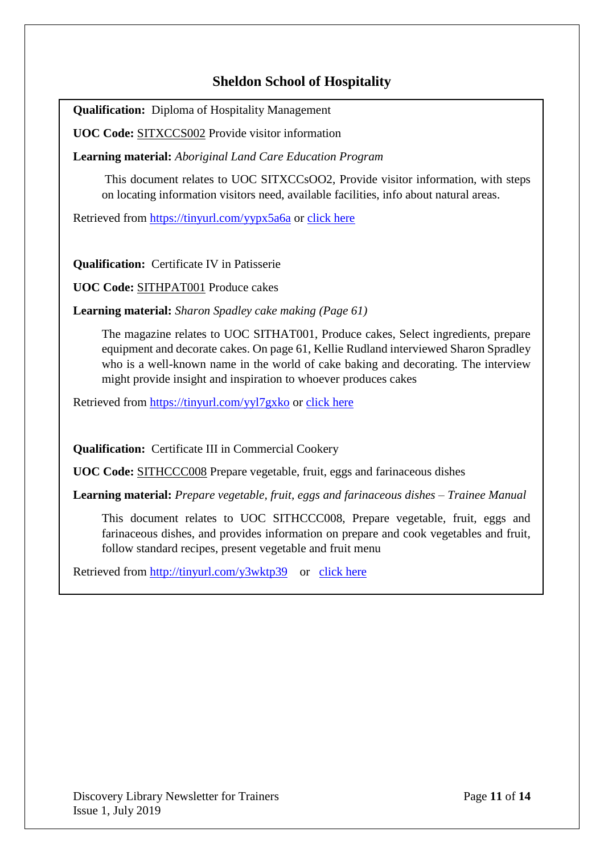# **Sheldon School of Hospitality**

**Qualification:** Diploma of Hospitality Management

**UOC Code:** SITXCCS002 Provide visitor information

**Learning material:** *Aboriginal Land Care Education Progra[m](http://what-when-how.com/nursing/implementing-and-evaluating-care-the-nursing-process-part-1/)*

This document relates to UOC SITXCCsOO2, Provide visitor information, with steps on locating information visitors need, available facilities, info about natural areas.

Retrieved from<https://tinyurl.com/yypx5a6a> or [click here](https://www.greeningaustralia.org.au/wp-content/uploads/2017/11/ALEP_No25_Provide_Visitor_Information_SAMPLE.pdf)

**Qualification:** Certificate IV in Patisserie

**UOC Code:** SITHPAT001 Produce cakes

**Learning material:** *Sharon Spadley cake making (Page 61)*

The magazine relates to UOC SITHAT001, Produce cakes, Select ingredients, prepare equipment and decorate cakes. On page 61, Kellie Rudland interviewed Sharon Spradley who is a well-known name in the world of cake baking and decorating. The interview might provide insight and inspiration to whoever produces cakes

Retrieved from<https://tinyurl.com/yyl7gxko> or [click here](https://view.joomag.com/cake-magazine-by-australian-cake-decorating-network-august-2018-cake-magazine/0933644001534935156?short)

**Qualification:** Certificate III in Commercial Cookery

**UOC Code:** SITHCCC008 Prepare vegetable, fruit, eggs and farinaceous dishes

**Learning material:** *Prepare vegetable, fruit, eggs and farinaceous dishes – Trainee Manual*

This document relates to UOC SITHCCC008, Prepare vegetable, fruit, eggs and farinaceous dishes, and provides information on prepare and cook vegetables and fruit, follow standard recipes, present vegetable and fruit menu

Retrieved from<http://tinyurl.com/y3wktp39>or [click here](http://www.waseantourism.com/ft/Toolbox%20Development%20II:%2098%20toolboxes%20for%20Front%20Office,%20F&%20B%20Services%20and%20Food%20Production/Submission%20to%20ASEC/2nd%20submission%20of%2024%20draft%20TBs_210113/Prepare%20vegetables,%20eggs%20and%20farinaceous%20dishes/TM_Prepare_veg_eggs_&_farinaceous_dishes_190113.pdf)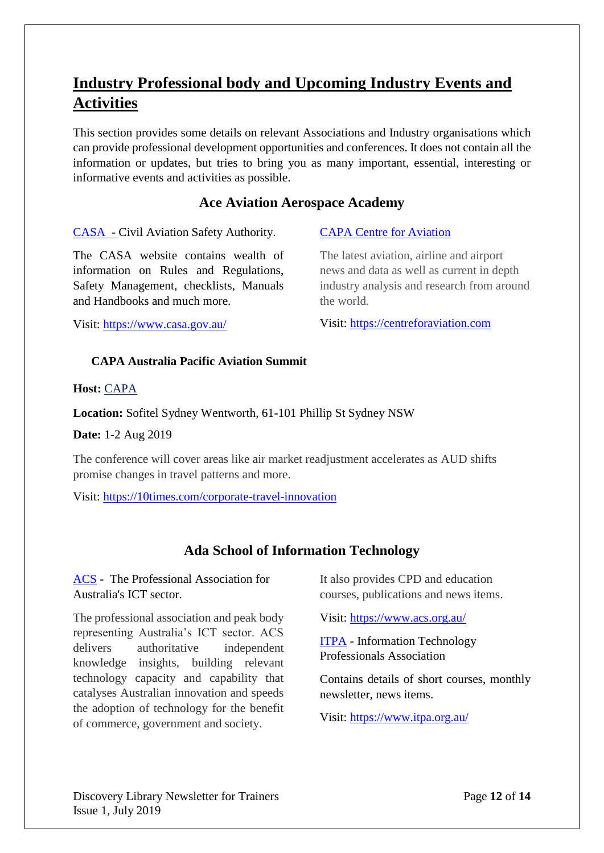# <span id="page-11-0"></span>**Industry Professional body and Upcoming Industry Events and Activities**

This section provides some details on relevant Associations and Industry organisations which can provide professional development opportunities and conferences. It does not contain all the information or updates, but tries to bring you as many important, essential, interesting or informative events and activities as possible.

# **Ace Aviation Aerospace Academy**

[CASA](https://www.casa.gov.au/) - Civil Aviation Safety Authority.

The CASA website contains wealth of information on Rules and Regulations, Safety Management, checklists, Manuals and Handbooks and much more.

Visit:<https://www.casa.gov.au/>

[CAPA Centre for Aviation](https://centreforaviation.com/)

The latest aviation, airline and airport news and data as well as current in depth industry analysis and research from around the world.

Visit: [https://centreforaviation.com](https://centreforaviation.com/)

### <span id="page-11-1"></span>**CAPA Australia Pacific Aviation Summit**

**Host:** [CAPA](https://www.tafesa.edu.au/)

**Location:** Sofitel Sydney Wentworth, 61-101 Phillip St Sydney NSW

**Date:** 1-2 Aug 2019

The conference will cover areas like air market readjustment accelerates as AUD shifts promise changes in travel patterns and more.

Visit: <https://10times.com/corporate-travel-innovation>

# **Ada School of Information Technology**

[ACS](https://www.acs.org.au/) - The Professional Association for Australia's ICT sector.

The professional association and peak body representing Australia's ICT sector. ACS delivers authoritative independent knowledge insights, building relevant technology capacity and capability that catalyses Australian innovation and speeds the adoption of technology for the benefit of commerce, government and society.

It also provides CPD and education courses, publications and news items.

Visit:<https://www.acs.org.au/>

[ITPA](https://www.itpa.org.au/) - [Information Technology](https://www.itpa.org.au/)  [Professionals Association](https://www.itpa.org.au/)

Contains details of short courses, monthly newsletter, news items.

Visit: https://www.itpa.org.au/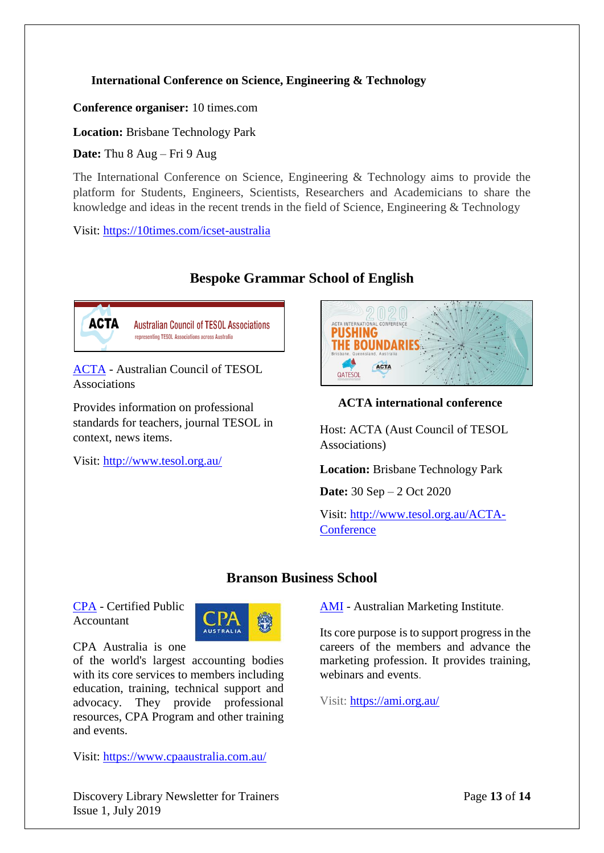### <span id="page-12-0"></span>**[International Conference on Science, Engineering & Technology](https://www.google.com/search?rlz=1C1GCEU_enAU832AU832&ei=RtgKXbTzCtC2rQHB_6uYDQ&q=computer+conferences+brisbane+2019&oq=computer+conferences+Brisbane&gs_l=psy-ab.1.1.33i160l2.10906.14162..16490...0.0..0.234.1617.0j6j3......0....1..gws-wiz.......0i71j0j0i22i30j33i22i29i30j33i21.PnZ14lGRfP8&ibp=htl;events&rciv=evn&sa=X&ved=2ahUKEwj484vr6_biAhVZOisKHQ7nBfYQ5bwDMAF6BAgJEA8#fpstate=tldetail&htidocid=bf7GJeHRIdQ64v-0JpA8-A%3D%3D&htivrt=events)**

**Conference organiser:** [10 times.](https://10times.com/icset-australia)com

**Location:** Brisbane Technology Park

**Date:** Thu 8 Aug – Fri 9 Aug

The International Conference on Science, Engineering & Technology aims to provide the platform for Students, Engineers, Scientists, Researchers and Academicians to share the knowledge and ideas in the recent trends in the field of Science, Engineering & Technology

Visit:<https://10times.com/icset-australia>

# **Bespoke Grammar School of English**



ACTA - Australian Council of TESOL Associations

Provides information on professional standards for teachers, journal TESOL in context, news items.

Visit:<http://www.tesol.org.au/>



# <span id="page-12-1"></span>**ACTA international conference**

Host: ACTA (Aust Council of TESOL Associations)

**Location:** Brisbane Technology Park

**Date:** 30 Sep – 2 Oct 2020

Visit: [http://www.tesol.org.au/ACTA-](http://www.tesol.org.au/ACTA-Conference)**[Conference](http://www.tesol.org.au/ACTA-Conference)** 

# **Branson Business School**

[CPA](https://www.cpaaustralia.com.au/) - Certified Public Accountant



CPA Australia is one

of the world's largest accounting bodies with its core services to members including education, training, technical support and advocacy. They provide professional resources, CPA Program and other training and events.

Visit:<https://www.cpaaustralia.com.au/>

[AMI](https://ami.org.au/) - Australian Marketing Institute.

Its core purpose is to support progress in the careers of the members and advance the marketing profession. It provides training, webinars and events.

Visit:<https://ami.org.au/>

Discovery Library Newsletter for Trainers Page **13** of **14** Issue 1, July 2019